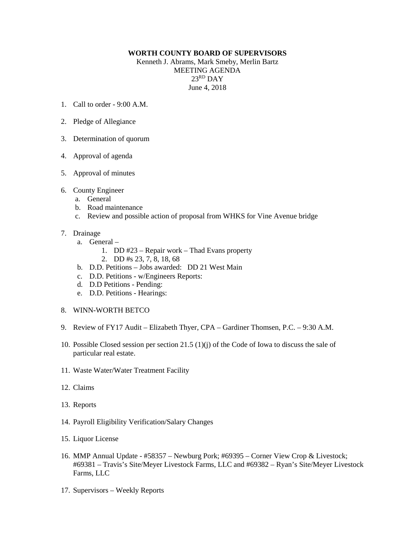## **WORTH COUNTY BOARD OF SUPERVISORS**

Kenneth J. Abrams, Mark Smeby, Merlin Bartz MEETING AGENDA 23RD DAY June 4, 2018

- 1. Call to order 9:00 A.M.
- 2. Pledge of Allegiance
- 3. Determination of quorum
- 4. Approval of agenda
- 5. Approval of minutes
- 6. County Engineer
	- a. General
	- b. Road maintenance
	- c. Review and possible action of proposal from WHKS for Vine Avenue bridge
- 7. Drainage
	- a. General
		- 1. DD #23 Repair work Thad Evans property
		- 2. DD #s 23, 7, 8, 18, 68
	- b. D.D. Petitions Jobs awarded: DD 21 West Main
	- c. D.D. Petitions w/Engineers Reports:
	- d. D.D Petitions Pending:
	- e. D.D. Petitions Hearings:
- 8. WINN-WORTH BETCO
- 9. Review of FY17 Audit Elizabeth Thyer, CPA Gardiner Thomsen, P.C. 9:30 A.M.
- 10. Possible Closed session per section 21.5 (1)(j) of the Code of Iowa to discuss the sale of particular real estate.
- 11. Waste Water/Water Treatment Facility
- 12. Claims
- 13. Reports
- 14. Payroll Eligibility Verification/Salary Changes
- 15. Liquor License
- 16. MMP Annual Update #58357 Newburg Pork; #69395 Corner View Crop & Livestock; #69381 – Travis's Site/Meyer Livestock Farms, LLC and #69382 – Ryan's Site/Meyer Livestock Farms, LLC
- 17. Supervisors Weekly Reports